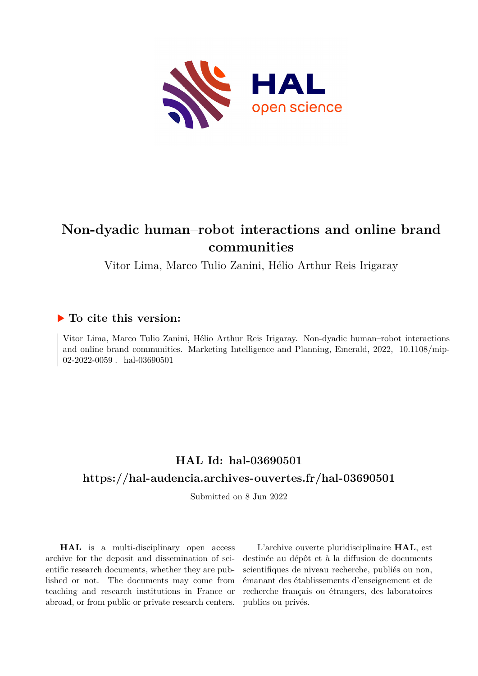

# **Non-dyadic human–robot interactions and online brand communities**

Vitor Lima, Marco Tulio Zanini, Hélio Arthur Reis Irigaray

# **To cite this version:**

Vitor Lima, Marco Tulio Zanini, Hélio Arthur Reis Irigaray. Non-dyadic human–robot interactions and online brand communities. Marketing Intelligence and Planning, Emerald,  $2022$ ,  $10.1108/min$ 02-2022-0059 . hal-03690501

# **HAL Id: hal-03690501 <https://hal-audencia.archives-ouvertes.fr/hal-03690501>**

Submitted on 8 Jun 2022

**HAL** is a multi-disciplinary open access archive for the deposit and dissemination of scientific research documents, whether they are published or not. The documents may come from teaching and research institutions in France or abroad, or from public or private research centers.

L'archive ouverte pluridisciplinaire **HAL**, est destinée au dépôt et à la diffusion de documents scientifiques de niveau recherche, publiés ou non, émanant des établissements d'enseignement et de recherche français ou étrangers, des laboratoires publics ou privés.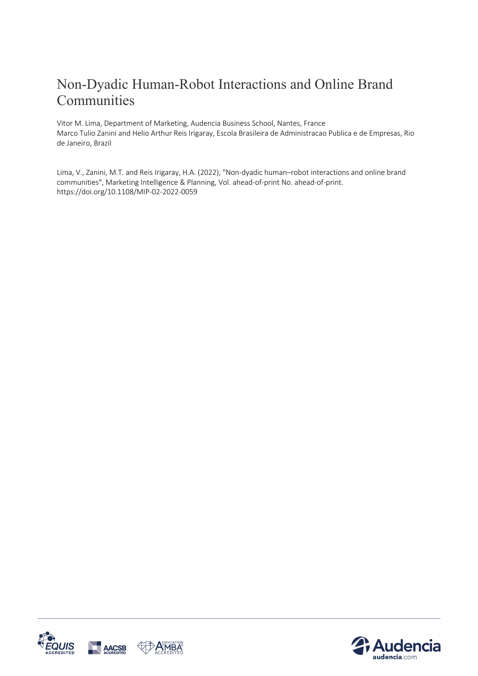# Non-Dyadic Human-Robot Interactions and Online Brand Communities

Vitor M. Lima, Department of Marketing, Audencia Business School, Nantes, France Marco Tulio Zanini and Helio Arthur Reis Irigaray, Escola Brasileira de Administracao Publica e de Empresas, Rio de Janeiro, Brazil

Lima, V., Zanini, M.T. and Reis Irigaray, H.A. (2022), "Non-dyadic human–robot interactions and online brand communities", Marketing Intelligence & Planning, Vol. ahead-of-print No. ahead-of-print. https://doi.org/10.1108/MIP-02-2022-0059



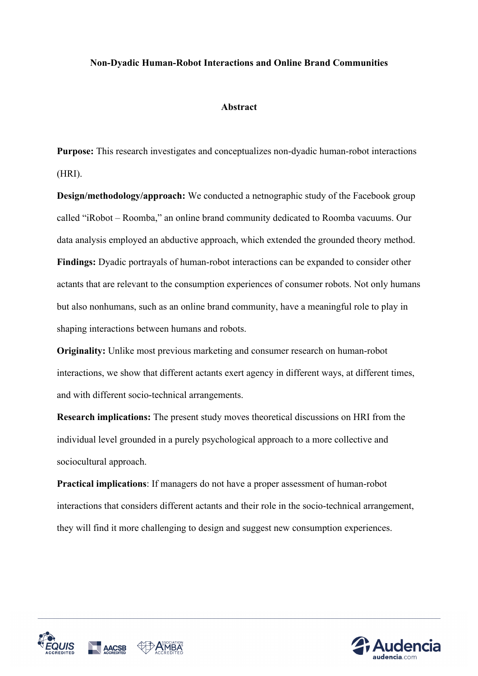## **Non-Dyadic Human-Robot Interactions and Online Brand Communities**

### **Abstract**

**Purpose:** This research investigates and conceptualizes non-dyadic human-robot interactions (HRI).

**Design/methodology/approach:** We conducted a netnographic study of the Facebook group called "iRobot – Roomba," an online brand community dedicated to Roomba vacuums. Our data analysis employed an abductive approach, which extended the grounded theory method. **Findings:** Dyadic portrayals of human-robot interactions can be expanded to consider other actants that are relevant to the consumption experiences of consumer robots. Not only humans but also nonhumans, such as an online brand community, have a meaningful role to play in shaping interactions between humans and robots.

**Originality:** Unlike most previous marketing and consumer research on human-robot interactions, we show that different actants exert agency in different ways, at different times, and with different socio-technical arrangements.

**Research implications:** The present study moves theoretical discussions on HRI from the individual level grounded in a purely psychological approach to a more collective and sociocultural approach.

**Practical implications**: If managers do not have a proper assessment of human-robot interactions that considers different actants and their role in the socio-technical arrangement, they will find it more challenging to design and suggest new consumption experiences.



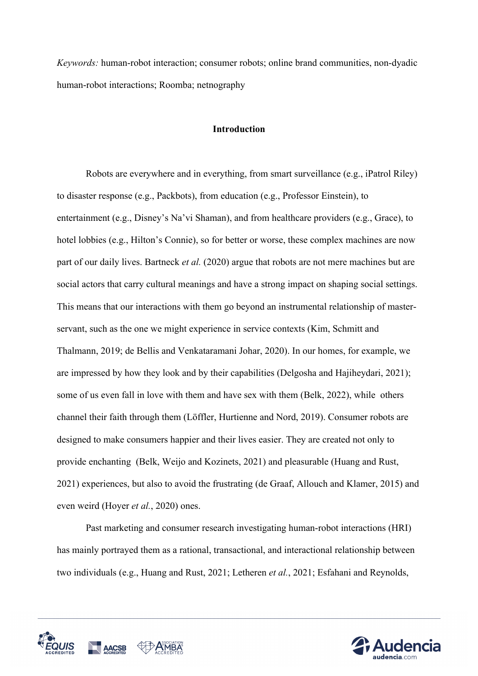*Keywords:* human-robot interaction; consumer robots; online brand communities, non-dyadic human-robot interactions; Roomba; netnography

### **Introduction**

Robots are everywhere and in everything, from smart surveillance (e.g., iPatrol Riley) to disaster response (e.g., Packbots), from education (e.g., Professor Einstein), to entertainment (e.g., Disney's Na'vi Shaman), and from healthcare providers (e.g., Grace), to hotel lobbies (e.g., Hilton's Connie), so for better or worse, these complex machines are now part of our daily lives. Bartneck *et al.* (2020) argue that robots are not mere machines but are social actors that carry cultural meanings and have a strong impact on shaping social settings. This means that our interactions with them go beyond an instrumental relationship of masterservant, such as the one we might experience in service contexts (Kim, Schmitt and Thalmann, 2019; de Bellis and Venkataramani Johar, 2020). In our homes, for example, we are impressed by how they look and by their capabilities (Delgosha and Hajiheydari, 2021); some of us even fall in love with them and have sex with them (Belk, 2022), while others channel their faith through them (Löffler, Hurtienne and Nord, 2019). Consumer robots are designed to make consumers happier and their lives easier. They are created not only to provide enchanting (Belk, Weijo and Kozinets, 2021) and pleasurable (Huang and Rust, 2021) experiences, but also to avoid the frustrating (de Graaf, Allouch and Klamer, 2015) and even weird (Hoyer *et al.*, 2020) ones.

Past marketing and consumer research investigating human-robot interactions (HRI) has mainly portrayed them as a rational, transactional, and interactional relationship between two individuals (e.g., Huang and Rust, 2021; Letheren *et al.*, 2021; Esfahani and Reynolds,



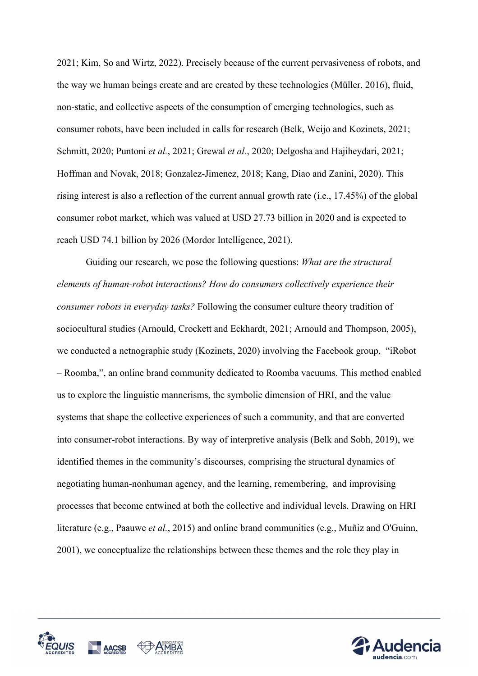2021; Kim, So and Wirtz, 2022). Precisely because of the current pervasiveness of robots, and the way we human beings create and are created by these technologies (Müller, 2016), fluid, non-static, and collective aspects of the consumption of emerging technologies, such as consumer robots, have been included in calls for research (Belk, Weijo and Kozinets, 2021; Schmitt, 2020; Puntoni *et al.*, 2021; Grewal *et al.*, 2020; Delgosha and Hajiheydari, 2021; Hoffman and Novak, 2018; Gonzalez-Jimenez, 2018; Kang, Diao and Zanini, 2020). This rising interest is also a reflection of the current annual growth rate (i.e., 17.45%) of the global consumer robot market, which was valued at USD 27.73 billion in 2020 and is expected to reach USD 74.1 billion by 2026 (Mordor Intelligence, 2021).

Guiding our research, we pose the following questions: *What are the structural elements of human-robot interactions? How do consumers collectively experience their consumer robots in everyday tasks?* Following the consumer culture theory tradition of sociocultural studies (Arnould, Crockett and Eckhardt, 2021; Arnould and Thompson, 2005), we conducted a netnographic study (Kozinets, 2020) involving the Facebook group, "iRobot – Roomba,", an online brand community dedicated to Roomba vacuums. This method enabled us to explore the linguistic mannerisms, the symbolic dimension of HRI, and the value systems that shape the collective experiences of such a community, and that are converted into consumer-robot interactions. By way of interpretive analysis (Belk and Sobh, 2019), we identified themes in the community's discourses, comprising the structural dynamics of negotiating human-nonhuman agency, and the learning, remembering, and improvising processes that become entwined at both the collective and individual levels. Drawing on HRI literature (e.g., Paauwe *et al.*, 2015) and online brand communities (e.g., Muñiz and O'Guinn, 2001), we conceptualize the relationships between these themes and the role they play in



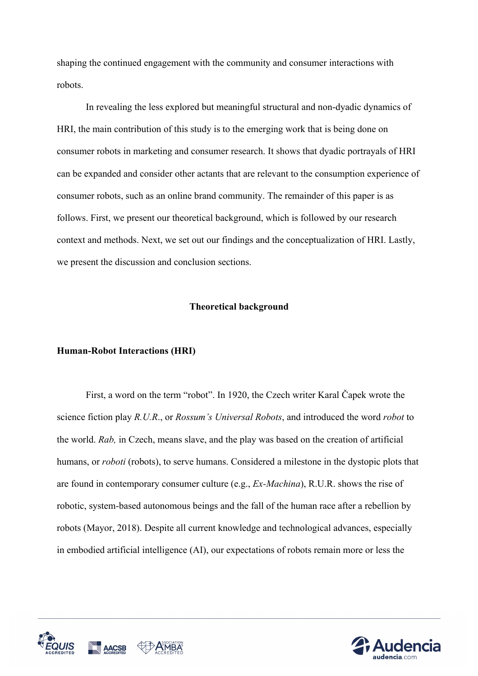shaping the continued engagement with the community and consumer interactions with robots.

In revealing the less explored but meaningful structural and non-dyadic dynamics of HRI, the main contribution of this study is to the emerging work that is being done on consumer robots in marketing and consumer research. It shows that dyadic portrayals of HRI can be expanded and consider other actants that are relevant to the consumption experience of consumer robots, such as an online brand community. The remainder of this paper is as follows. First, we present our theoretical background, which is followed by our research context and methods. Next, we set out our findings and the conceptualization of HRI. Lastly, we present the discussion and conclusion sections.

#### **Theoretical background**

#### **Human-Robot Interactions (HRI)**

First, a word on the term "robot". In 1920, the Czech writer Karal Čapek wrote the science fiction play *R.U.R*., or *Rossum's Universal Robots*, and introduced the word *robot* to the world. *Rab,* in Czech, means slave, and the play was based on the creation of artificial humans, or *roboti* (robots), to serve humans. Considered a milestone in the dystopic plots that are found in contemporary consumer culture (e.g., *Ex-Machina*), R.U.R. shows the rise of robotic, system-based autonomous beings and the fall of the human race after a rebellion by robots (Mayor, 2018). Despite all current knowledge and technological advances, especially in embodied artificial intelligence (AI), our expectations of robots remain more or less the



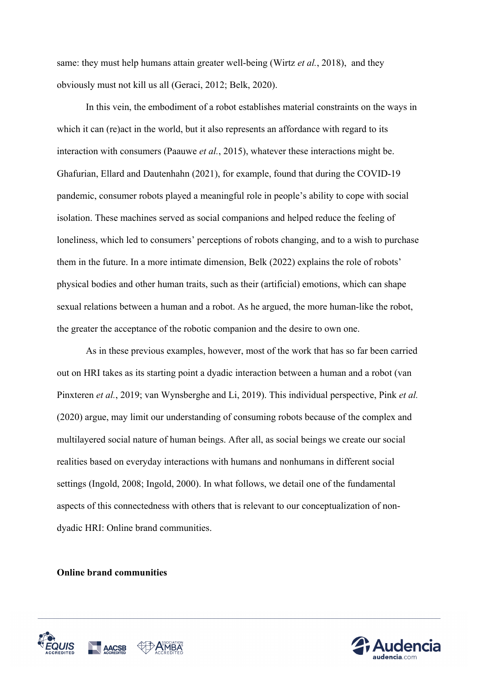same: they must help humans attain greater well-being (Wirtz *et al.*, 2018), and they obviously must not kill us all (Geraci, 2012; Belk, 2020).

In this vein, the embodiment of a robot establishes material constraints on the ways in which it can (re)act in the world, but it also represents an affordance with regard to its interaction with consumers (Paauwe *et al.*, 2015), whatever these interactions might be. Ghafurian, Ellard and Dautenhahn (2021), for example, found that during the COVID-19 pandemic, consumer robots played a meaningful role in people's ability to cope with social isolation. These machines served as social companions and helped reduce the feeling of loneliness, which led to consumers' perceptions of robots changing, and to a wish to purchase them in the future. In a more intimate dimension, Belk (2022) explains the role of robots' physical bodies and other human traits, such as their (artificial) emotions, which can shape sexual relations between a human and a robot. As he argued, the more human-like the robot, the greater the acceptance of the robotic companion and the desire to own one.

As in these previous examples, however, most of the work that has so far been carried out on HRI takes as its starting point a dyadic interaction between a human and a robot (van Pinxteren *et al.*, 2019; van Wynsberghe and Li, 2019). This individual perspective, Pink *et al.* (2020) argue, may limit our understanding of consuming robots because of the complex and multilayered social nature of human beings. After all, as social beings we create our social realities based on everyday interactions with humans and nonhumans in different social settings (Ingold, 2008; Ingold, 2000). In what follows, we detail one of the fundamental aspects of this connectedness with others that is relevant to our conceptualization of nondyadic HRI: Online brand communities.

**Online brand communities**



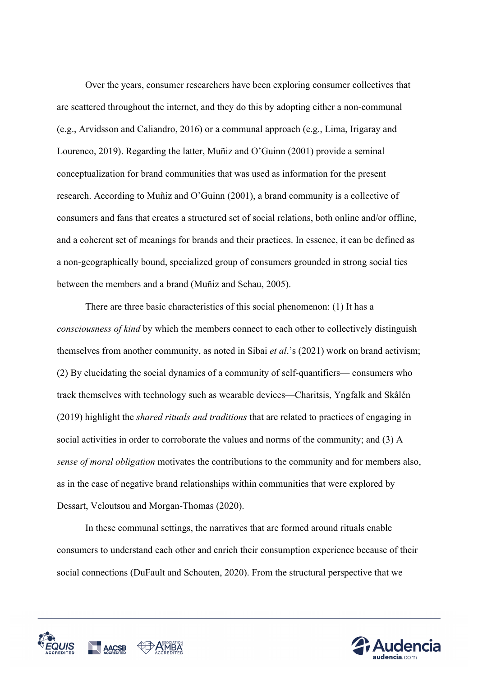Over the years, consumer researchers have been exploring consumer collectives that are scattered throughout the internet, and they do this by adopting either a non-communal (e.g., Arvidsson and Caliandro, 2016) or a communal approach (e.g., Lima, Irigaray and Lourenco, 2019). Regarding the latter, Muñiz and O'Guinn (2001) provide a seminal conceptualization for brand communities that was used as information for the present research. According to Muñiz and O'Guinn (2001), a brand community is a collective of consumers and fans that creates a structured set of social relations, both online and/or offline, and a coherent set of meanings for brands and their practices. In essence, it can be defined as a non-geographically bound, specialized group of consumers grounded in strong social ties between the members and a brand (Muñiz and Schau, 2005).

There are three basic characteristics of this social phenomenon: (1) It has a *consciousness of kind* by which the members connect to each other to collectively distinguish themselves from another community, as noted in Sibai *et al*.'s (2021) work on brand activism; (2) By elucidating the social dynamics of a community of self-quantifiers— consumers who track themselves with technology such as wearable devices—Charitsis, Yngfalk and Skålén (2019) highlight the *shared rituals and traditions* that are related to practices of engaging in social activities in order to corroborate the values and norms of the community; and (3) A *sense of moral obligation* motivates the contributions to the community and for members also, as in the case of negative brand relationships within communities that were explored by Dessart, Veloutsou and Morgan-Thomas (2020).

In these communal settings, the narratives that are formed around rituals enable consumers to understand each other and enrich their consumption experience because of their social connections (DuFault and Schouten, 2020). From the structural perspective that we



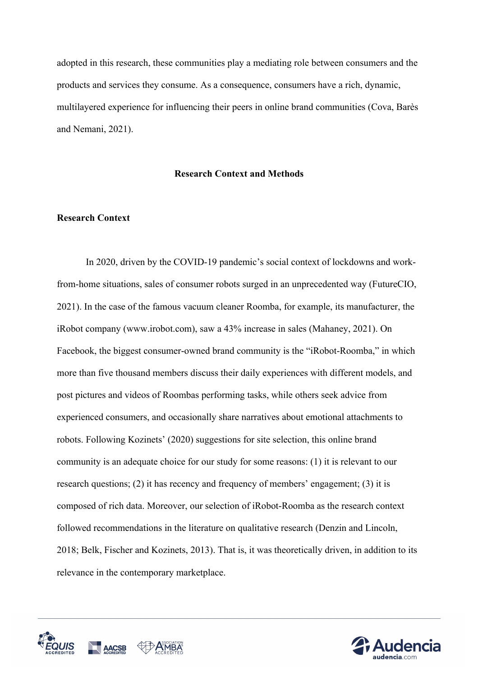adopted in this research, these communities play a mediating role between consumers and the products and services they consume. As a consequence, consumers have a rich, dynamic, multilayered experience for influencing their peers in online brand communities (Cova, Barès and Nemani, 2021).

#### **Research Context and Methods**

## **Research Context**

In 2020, driven by the COVID-19 pandemic's social context of lockdowns and workfrom-home situations, sales of consumer robots surged in an unprecedented way (FutureCIO, 2021). In the case of the famous vacuum cleaner Roomba, for example, its manufacturer, the iRobot company (www.irobot.com), saw a 43% increase in sales (Mahaney, 2021). On Facebook, the biggest consumer-owned brand community is the "iRobot-Roomba," in which more than five thousand members discuss their daily experiences with different models, and post pictures and videos of Roombas performing tasks, while others seek advice from experienced consumers, and occasionally share narratives about emotional attachments to robots. Following Kozinets' (2020) suggestions for site selection, this online brand community is an adequate choice for our study for some reasons: (1) it is relevant to our research questions; (2) it has recency and frequency of members' engagement; (3) it is composed of rich data. Moreover, our selection of iRobot-Roomba as the research context followed recommendations in the literature on qualitative research (Denzin and Lincoln, 2018; Belk, Fischer and Kozinets, 2013). That is, it was theoretically driven, in addition to its relevance in the contemporary marketplace.



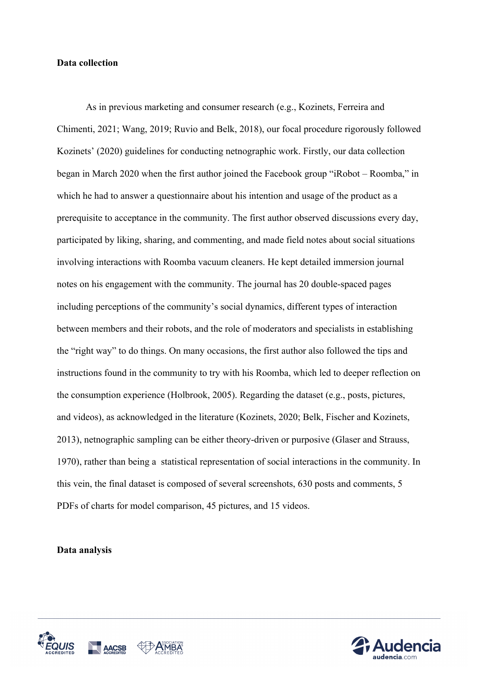#### **Data collection**

As in previous marketing and consumer research (e.g., Kozinets, Ferreira and Chimenti, 2021; Wang, 2019; Ruvio and Belk, 2018), our focal procedure rigorously followed Kozinets' (2020) guidelines for conducting netnographic work. Firstly, our data collection began in March 2020 when the first author joined the Facebook group "iRobot – Roomba," in which he had to answer a questionnaire about his intention and usage of the product as a prerequisite to acceptance in the community. The first author observed discussions every day, participated by liking, sharing, and commenting, and made field notes about social situations involving interactions with Roomba vacuum cleaners. He kept detailed immersion journal notes on his engagement with the community. The journal has 20 double-spaced pages including perceptions of the community's social dynamics, different types of interaction between members and their robots, and the role of moderators and specialists in establishing the "right way" to do things. On many occasions, the first author also followed the tips and instructions found in the community to try with his Roomba, which led to deeper reflection on the consumption experience (Holbrook, 2005). Regarding the dataset (e.g., posts, pictures, and videos), as acknowledged in the literature (Kozinets, 2020; Belk, Fischer and Kozinets, 2013), netnographic sampling can be either theory-driven or purposive (Glaser and Strauss, 1970), rather than being a statistical representation of social interactions in the community. In this vein, the final dataset is composed of several screenshots, 630 posts and comments, 5 PDFs of charts for model comparison, 45 pictures, and 15 videos.

#### **Data analysis**



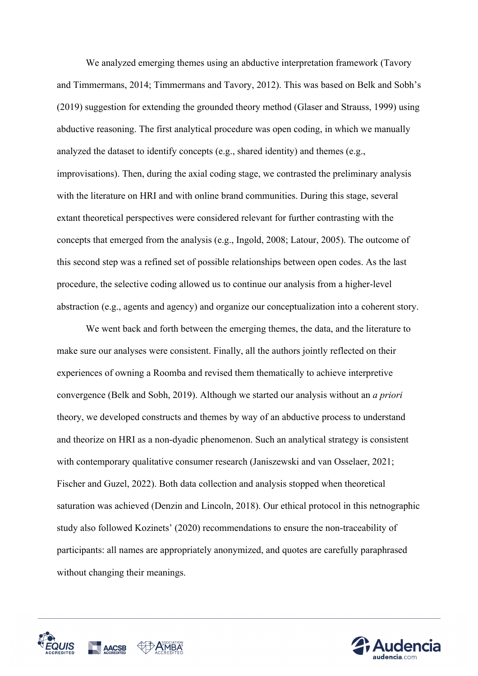We analyzed emerging themes using an abductive interpretation framework (Tavory and Timmermans, 2014; Timmermans and Tavory, 2012). This was based on Belk and Sobh's (2019) suggestion for extending the grounded theory method (Glaser and Strauss, 1999) using abductive reasoning. The first analytical procedure was open coding, in which we manually analyzed the dataset to identify concepts (e.g., shared identity) and themes (e.g., improvisations). Then, during the axial coding stage, we contrasted the preliminary analysis with the literature on HRI and with online brand communities. During this stage, several extant theoretical perspectives were considered relevant for further contrasting with the concepts that emerged from the analysis (e.g., Ingold, 2008; Latour, 2005). The outcome of this second step was a refined set of possible relationships between open codes. As the last procedure, the selective coding allowed us to continue our analysis from a higher-level abstraction (e.g., agents and agency) and organize our conceptualization into a coherent story.

We went back and forth between the emerging themes, the data, and the literature to make sure our analyses were consistent. Finally, all the authors jointly reflected on their experiences of owning a Roomba and revised them thematically to achieve interpretive convergence (Belk and Sobh, 2019). Although we started our analysis without an *a priori* theory, we developed constructs and themes by way of an abductive process to understand and theorize on HRI as a non-dyadic phenomenon. Such an analytical strategy is consistent with contemporary qualitative consumer research (Janiszewski and van Osselaer, 2021; Fischer and Guzel, 2022). Both data collection and analysis stopped when theoretical saturation was achieved (Denzin and Lincoln, 2018). Our ethical protocol in this netnographic study also followed Kozinets' (2020) recommendations to ensure the non-traceability of participants: all names are appropriately anonymized, and quotes are carefully paraphrased without changing their meanings.



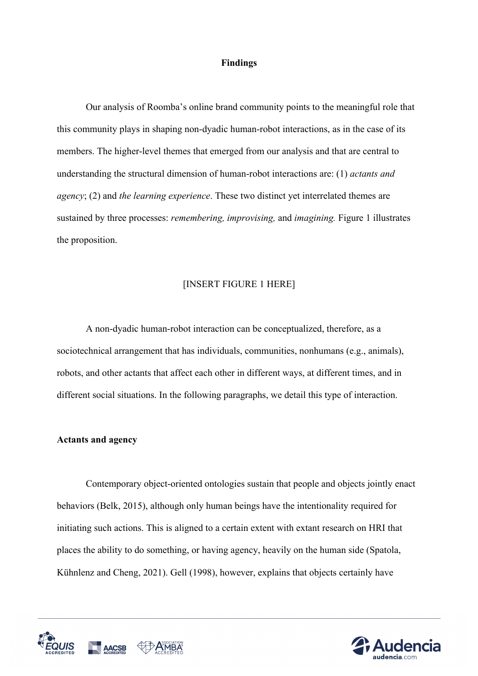#### **Findings**

Our analysis of Roomba's online brand community points to the meaningful role that this community plays in shaping non-dyadic human-robot interactions, as in the case of its members. The higher-level themes that emerged from our analysis and that are central to understanding the structural dimension of human-robot interactions are: (1) *actants and agency*; (2) and *the learning experience*. These two distinct yet interrelated themes are sustained by three processes: *remembering, improvising,* and *imagining.* Figure 1 illustrates the proposition.

#### [INSERT FIGURE 1 HERE]

A non-dyadic human-robot interaction can be conceptualized, therefore, as a sociotechnical arrangement that has individuals, communities, nonhumans (e.g., animals), robots, and other actants that affect each other in different ways, at different times, and in different social situations. In the following paragraphs, we detail this type of interaction.

#### **Actants and agency**

Contemporary object-oriented ontologies sustain that people and objects jointly enact behaviors (Belk, 2015), although only human beings have the intentionality required for initiating such actions. This is aligned to a certain extent with extant research on HRI that places the ability to do something, or having agency, heavily on the human side (Spatola, Kühnlenz and Cheng, 2021). Gell (1998), however, explains that objects certainly have



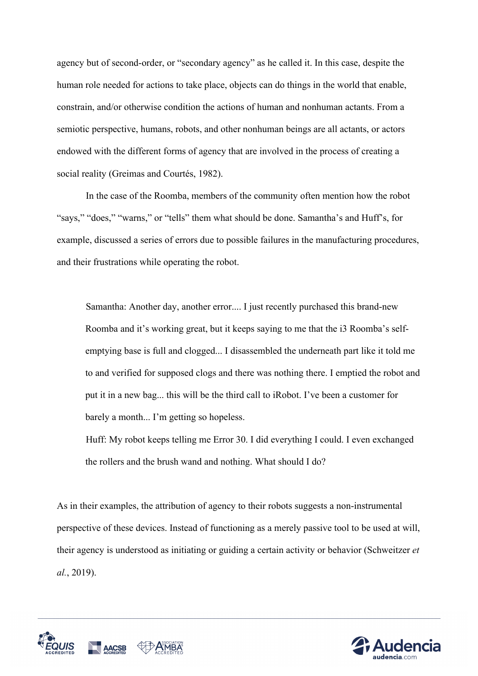agency but of second-order, or "secondary agency" as he called it. In this case, despite the human role needed for actions to take place, objects can do things in the world that enable, constrain, and/or otherwise condition the actions of human and nonhuman actants. From a semiotic perspective, humans, robots, and other nonhuman beings are all actants, or actors endowed with the different forms of agency that are involved in the process of creating a social reality (Greimas and Courtés, 1982).

In the case of the Roomba, members of the community often mention how the robot "says," "does," "warns," or "tells" them what should be done. Samantha's and Huff's, for example, discussed a series of errors due to possible failures in the manufacturing procedures, and their frustrations while operating the robot.

Samantha: Another day, another error.... I just recently purchased this brand-new Roomba and it's working great, but it keeps saying to me that the i3 Roomba's selfemptying base is full and clogged... I disassembled the underneath part like it told me to and verified for supposed clogs and there was nothing there. I emptied the robot and put it in a new bag... this will be the third call to iRobot. I've been a customer for barely a month... I'm getting so hopeless.

Huff: My robot keeps telling me Error 30. I did everything I could. I even exchanged the rollers and the brush wand and nothing. What should I do?

As in their examples, the attribution of agency to their robots suggests a non-instrumental perspective of these devices. Instead of functioning as a merely passive tool to be used at will, their agency is understood as initiating or guiding a certain activity or behavior (Schweitzer *et al.*, 2019).



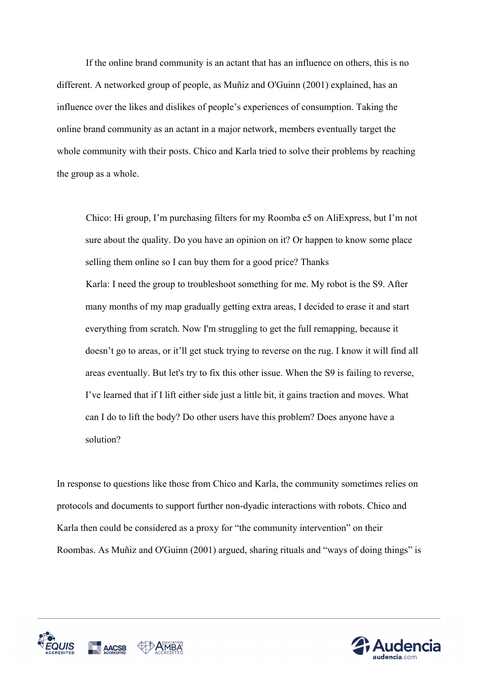If the online brand community is an actant that has an influence on others, this is no different. A networked group of people, as Muñiz and O'Guinn (2001) explained, has an influence over the likes and dislikes of people's experiences of consumption. Taking the online brand community as an actant in a major network, members eventually target the whole community with their posts. Chico and Karla tried to solve their problems by reaching the group as a whole.

Chico: Hi group, I'm purchasing filters for my Roomba e5 on AliExpress, but I'm not sure about the quality. Do you have an opinion on it? Or happen to know some place selling them online so I can buy them for a good price? Thanks Karla: I need the group to troubleshoot something for me. My robot is the S9. After many months of my map gradually getting extra areas, I decided to erase it and start everything from scratch. Now I'm struggling to get the full remapping, because it doesn't go to areas, or it'll get stuck trying to reverse on the rug. I know it will find all areas eventually. But let's try to fix this other issue. When the S9 is failing to reverse, I've learned that if I lift either side just a little bit, it gains traction and moves. What can I do to lift the body? Do other users have this problem? Does anyone have a solution?

In response to questions like those from Chico and Karla, the community sometimes relies on protocols and documents to support further non-dyadic interactions with robots. Chico and Karla then could be considered as a proxy for "the community intervention" on their Roombas. As Muñiz and O'Guinn (2001) argued, sharing rituals and "ways of doing things" is



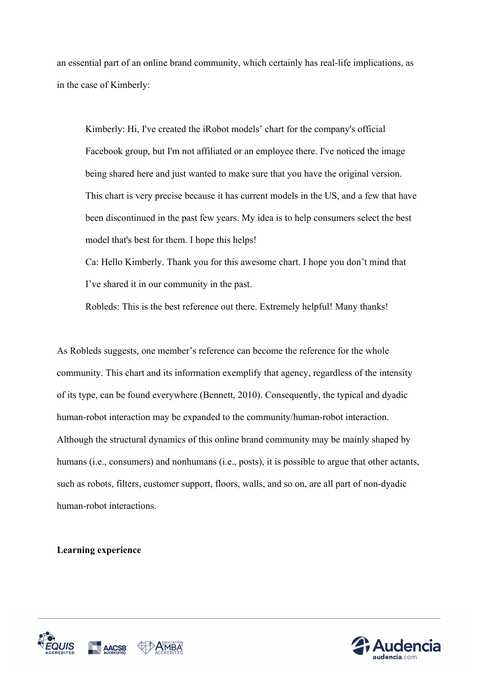an essential part of an online brand community, which certainly has real-life implications, as in the case of Kimberly:

Kimberly: Hi, I've created the iRobot models' chart for the company's official Facebook group, but I'm not affiliated or an employee there. I've noticed the image being shared here and just wanted to make sure that you have the original version. This chart is very precise because it has current models in the US, and a few that have been discontinued in the past few years. My idea is to help consumers select the best model that's best for them. I hope this helps!

Ca: Hello Kimberly. Thank you for this awesome chart. I hope you don't mind that I've shared it in our community in the past.

Robleds: This is the best reference out there. Extremely helpful! Many thanks!

As Robleds suggests, one member's reference can become the reference for the whole community. This chart and its information exemplify that agency, regardless of the intensity of its type, can be found everywhere (Bennett, 2010). Consequently, the typical and dyadic human-robot interaction may be expanded to the community/human-robot interaction. Although the structural dynamics of this online brand community may be mainly shaped by humans (i.e., consumers) and nonhumans (i.e., posts), it is possible to argue that other actants, such as robots, filters, customer support, floors, walls, and so on, are all part of non-dyadic human-robot interactions.

# **Learning experience**



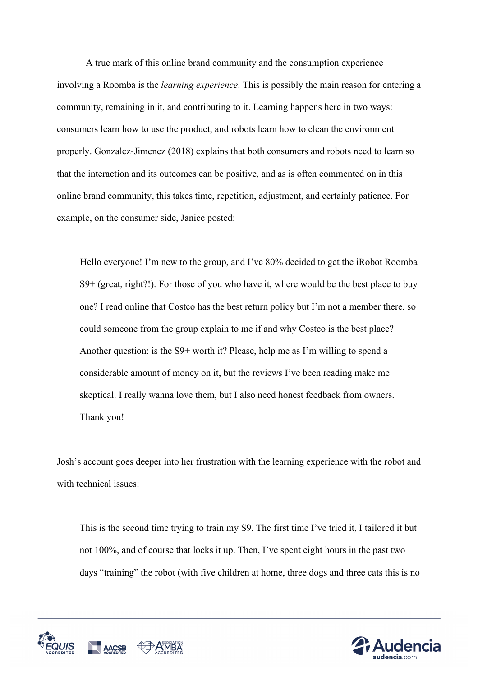A true mark of this online brand community and the consumption experience involving a Roomba is the *learning experience*. This is possibly the main reason for entering a community, remaining in it, and contributing to it. Learning happens here in two ways: consumers learn how to use the product, and robots learn how to clean the environment properly. Gonzalez-Jimenez (2018) explains that both consumers and robots need to learn so that the interaction and its outcomes can be positive, and as is often commented on in this online brand community, this takes time, repetition, adjustment, and certainly patience. For example, on the consumer side, Janice posted:

Hello everyone! I'm new to the group, and I've 80% decided to get the iRobot Roomba S9+ (great, right?!). For those of you who have it, where would be the best place to buy one? I read online that Costco has the best return policy but I'm not a member there, so could someone from the group explain to me if and why Costco is the best place? Another question: is the S9+ worth it? Please, help me as I'm willing to spend a considerable amount of money on it, but the reviews I've been reading make me skeptical. I really wanna love them, but I also need honest feedback from owners. Thank you!

Josh's account goes deeper into her frustration with the learning experience with the robot and with technical issues:

This is the second time trying to train my S9. The first time I've tried it, I tailored it but not 100%, and of course that locks it up. Then, I've spent eight hours in the past two days "training" the robot (with five children at home, three dogs and three cats this is no



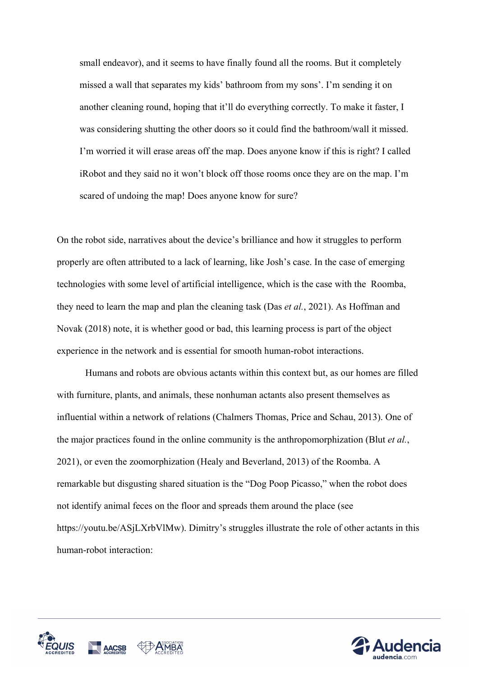small endeavor), and it seems to have finally found all the rooms. But it completely missed a wall that separates my kids' bathroom from my sons'. I'm sending it on another cleaning round, hoping that it'll do everything correctly. To make it faster, I was considering shutting the other doors so it could find the bathroom/wall it missed. I'm worried it will erase areas off the map. Does anyone know if this is right? I called iRobot and they said no it won't block off those rooms once they are on the map. I'm scared of undoing the map! Does anyone know for sure?

On the robot side, narratives about the device's brilliance and how it struggles to perform properly are often attributed to a lack of learning, like Josh's case. In the case of emerging technologies with some level of artificial intelligence, which is the case with the Roomba, they need to learn the map and plan the cleaning task (Das *et al.*, 2021). As Hoffman and Novak (2018) note, it is whether good or bad, this learning process is part of the object experience in the network and is essential for smooth human-robot interactions.

Humans and robots are obvious actants within this context but, as our homes are filled with furniture, plants, and animals, these nonhuman actants also present themselves as influential within a network of relations (Chalmers Thomas, Price and Schau, 2013). One of the major practices found in the online community is the anthropomorphization (Blut *et al.*, 2021), or even the zoomorphization (Healy and Beverland, 2013) of the Roomba. A remarkable but disgusting shared situation is the "Dog Poop Picasso," when the robot does not identify animal feces on the floor and spreads them around the place (see https://youtu.be/ASjLXrbVlMw). Dimitry's struggles illustrate the role of other actants in this human-robot interaction:



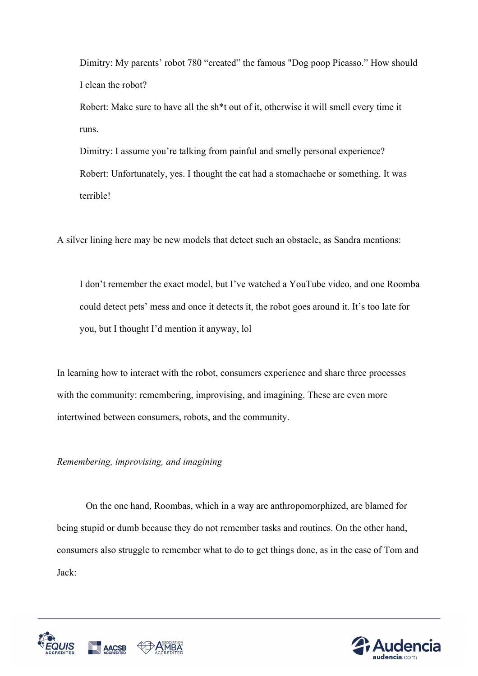Dimitry: My parents' robot 780 "created" the famous "Dog poop Picasso." How should I clean the robot?

Robert: Make sure to have all the sh\*t out of it, otherwise it will smell every time it runs.

Dimitry: I assume you're talking from painful and smelly personal experience? Robert: Unfortunately, yes. I thought the cat had a stomachache or something. It was terrible!

A silver lining here may be new models that detect such an obstacle, as Sandra mentions:

I don't remember the exact model, but I've watched a YouTube video, and one Roomba could detect pets' mess and once it detects it, the robot goes around it. It's too late for you, but I thought I'd mention it anyway, lol

In learning how to interact with the robot, consumers experience and share three processes with the community: remembering, improvising, and imagining. These are even more intertwined between consumers, robots, and the community.

*Remembering, improvising, and imagining*

On the one hand, Roombas, which in a way are anthropomorphized, are blamed for being stupid or dumb because they do not remember tasks and routines. On the other hand, consumers also struggle to remember what to do to get things done, as in the case of Tom and Jack:



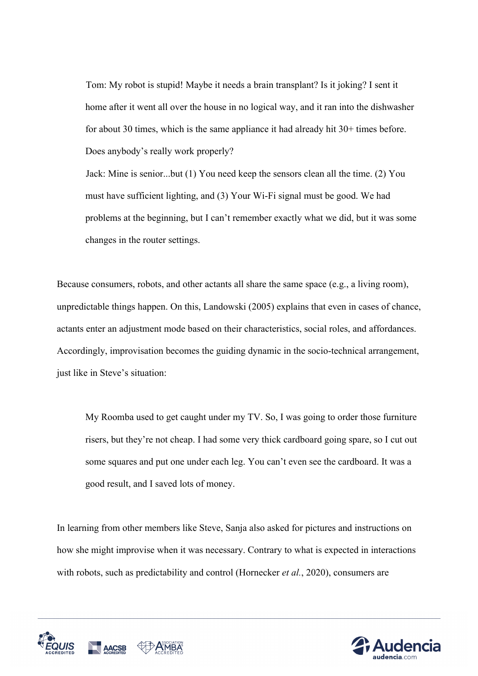Tom: My robot is stupid! Maybe it needs a brain transplant? Is it joking? I sent it home after it went all over the house in no logical way, and it ran into the dishwasher for about 30 times, which is the same appliance it had already hit 30+ times before. Does anybody's really work properly?

Jack: Mine is senior...but (1) You need keep the sensors clean all the time. (2) You must have sufficient lighting, and (3) Your Wi-Fi signal must be good. We had problems at the beginning, but I can't remember exactly what we did, but it was some changes in the router settings.

Because consumers, robots, and other actants all share the same space (e.g., a living room), unpredictable things happen. On this, Landowski (2005) explains that even in cases of chance, actants enter an adjustment mode based on their characteristics, social roles, and affordances. Accordingly, improvisation becomes the guiding dynamic in the socio-technical arrangement, just like in Steve's situation:

My Roomba used to get caught under my TV. So, I was going to order those furniture risers, but they're not cheap. I had some very thick cardboard going spare, so I cut out some squares and put one under each leg. You can't even see the cardboard. It was a good result, and I saved lots of money.

In learning from other members like Steve, Sanja also asked for pictures and instructions on how she might improvise when it was necessary. Contrary to what is expected in interactions with robots, such as predictability and control (Hornecker *et al.*, 2020), consumers are



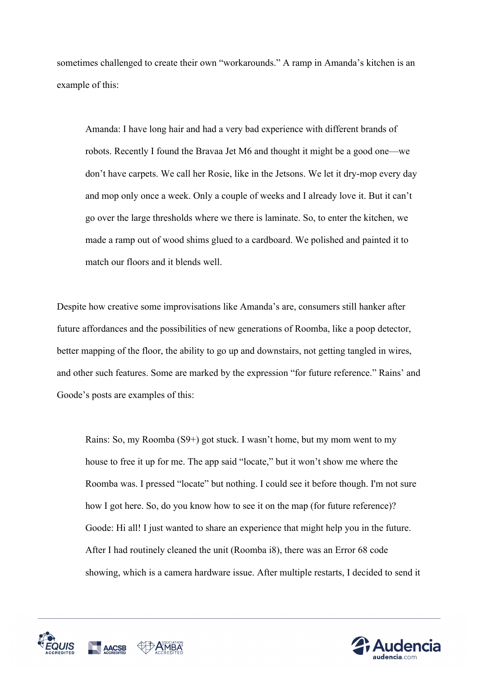sometimes challenged to create their own "workarounds." A ramp in Amanda's kitchen is an example of this:

Amanda: I have long hair and had a very bad experience with different brands of robots. Recently I found the Bravaa Jet M6 and thought it might be a good one—we don't have carpets. We call her Rosie, like in the Jetsons. We let it dry-mop every day and mop only once a week. Only a couple of weeks and I already love it. But it can't go over the large thresholds where we there is laminate. So, to enter the kitchen, we made a ramp out of wood shims glued to a cardboard. We polished and painted it to match our floors and it blends well.

Despite how creative some improvisations like Amanda's are, consumers still hanker after future affordances and the possibilities of new generations of Roomba, like a poop detector, better mapping of the floor, the ability to go up and downstairs, not getting tangled in wires, and other such features. Some are marked by the expression "for future reference." Rains' and Goode's posts are examples of this:

Rains: So, my Roomba (S9+) got stuck. I wasn't home, but my mom went to my house to free it up for me. The app said "locate," but it won't show me where the Roomba was. I pressed "locate" but nothing. I could see it before though. I'm not sure how I got here. So, do you know how to see it on the map (for future reference)? Goode: Hi all! I just wanted to share an experience that might help you in the future. After I had routinely cleaned the unit (Roomba i8), there was an Error 68 code showing, which is a camera hardware issue. After multiple restarts, I decided to send it



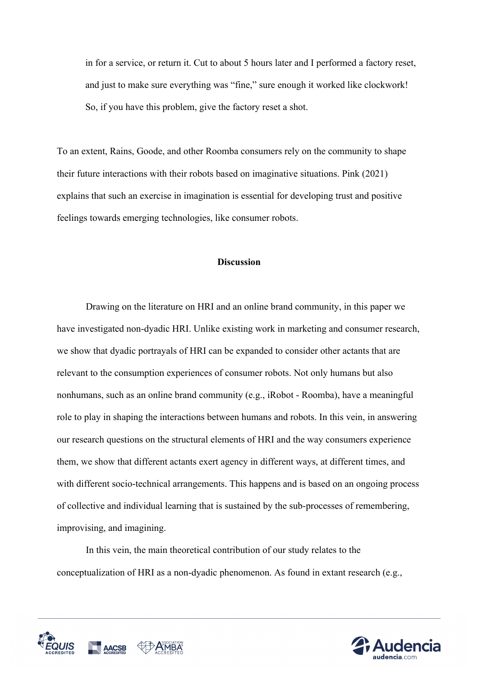in for a service, or return it. Cut to about 5 hours later and I performed a factory reset, and just to make sure everything was "fine," sure enough it worked like clockwork! So, if you have this problem, give the factory reset a shot.

To an extent, Rains, Goode, and other Roomba consumers rely on the community to shape their future interactions with their robots based on imaginative situations. Pink (2021) explains that such an exercise in imagination is essential for developing trust and positive feelings towards emerging technologies, like consumer robots.

### **Discussion**

Drawing on the literature on HRI and an online brand community, in this paper we have investigated non-dyadic HRI. Unlike existing work in marketing and consumer research, we show that dyadic portrayals of HRI can be expanded to consider other actants that are relevant to the consumption experiences of consumer robots. Not only humans but also nonhumans, such as an online brand community (e.g., iRobot - Roomba), have a meaningful role to play in shaping the interactions between humans and robots. In this vein, in answering our research questions on the structural elements of HRI and the way consumers experience them, we show that different actants exert agency in different ways, at different times, and with different socio-technical arrangements. This happens and is based on an ongoing process of collective and individual learning that is sustained by the sub-processes of remembering, improvising, and imagining.

In this vein, the main theoretical contribution of our study relates to the conceptualization of HRI as a non-dyadic phenomenon. As found in extant research (e.g.,



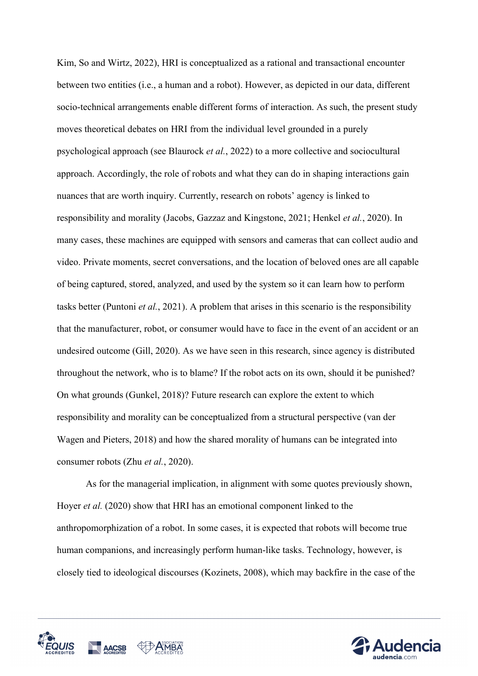Kim, So and Wirtz, 2022), HRI is conceptualized as a rational and transactional encounter between two entities (i.e., a human and a robot). However, as depicted in our data, different socio-technical arrangements enable different forms of interaction. As such, the present study moves theoretical debates on HRI from the individual level grounded in a purely psychological approach (see Blaurock *et al.*, 2022) to a more collective and sociocultural approach. Accordingly, the role of robots and what they can do in shaping interactions gain nuances that are worth inquiry. Currently, research on robots' agency is linked to responsibility and morality (Jacobs, Gazzaz and Kingstone, 2021; Henkel *et al.*, 2020). In many cases, these machines are equipped with sensors and cameras that can collect audio and video. Private moments, secret conversations, and the location of beloved ones are all capable of being captured, stored, analyzed, and used by the system so it can learn how to perform tasks better (Puntoni *et al.*, 2021). A problem that arises in this scenario is the responsibility that the manufacturer, robot, or consumer would have to face in the event of an accident or an undesired outcome (Gill, 2020). As we have seen in this research, since agency is distributed throughout the network, who is to blame? If the robot acts on its own, should it be punished? On what grounds (Gunkel, 2018)? Future research can explore the extent to which responsibility and morality can be conceptualized from a structural perspective (van der Wagen and Pieters, 2018) and how the shared morality of humans can be integrated into consumer robots (Zhu *et al.*, 2020).

As for the managerial implication, in alignment with some quotes previously shown, Hoyer *et al.* (2020) show that HRI has an emotional component linked to the anthropomorphization of a robot. In some cases, it is expected that robots will become true human companions, and increasingly perform human-like tasks. Technology, however, is closely tied to ideological discourses (Kozinets, 2008), which may backfire in the case of the



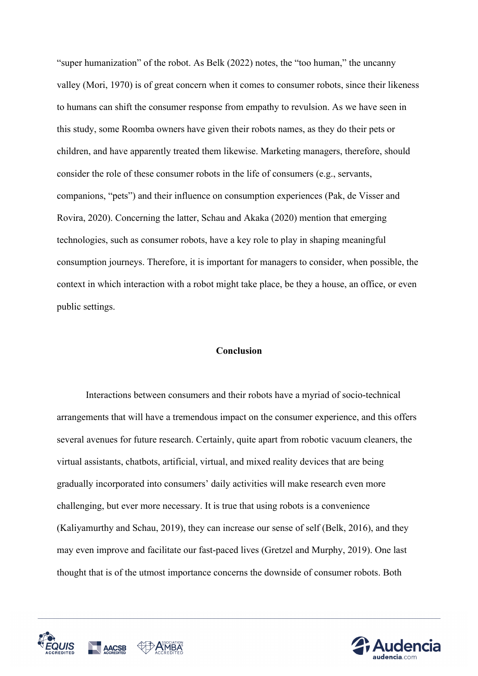"super humanization" of the robot. As Belk (2022) notes, the "too human," the uncanny valley (Mori, 1970) is of great concern when it comes to consumer robots, since their likeness to humans can shift the consumer response from empathy to revulsion. As we have seen in this study, some Roomba owners have given their robots names, as they do their pets or children, and have apparently treated them likewise. Marketing managers, therefore, should consider the role of these consumer robots in the life of consumers (e.g., servants, companions, "pets") and their influence on consumption experiences (Pak, de Visser and Rovira, 2020). Concerning the latter, Schau and Akaka (2020) mention that emerging technologies, such as consumer robots, have a key role to play in shaping meaningful consumption journeys. Therefore, it is important for managers to consider, when possible, the context in which interaction with a robot might take place, be they a house, an office, or even public settings.

#### **Conclusion**

Interactions between consumers and their robots have a myriad of socio-technical arrangements that will have a tremendous impact on the consumer experience, and this offers several avenues for future research. Certainly, quite apart from robotic vacuum cleaners, the virtual assistants, chatbots, artificial, virtual, and mixed reality devices that are being gradually incorporated into consumers' daily activities will make research even more challenging, but ever more necessary. It is true that using robots is a convenience (Kaliyamurthy and Schau, 2019), they can increase our sense of self (Belk, 2016), and they may even improve and facilitate our fast-paced lives (Gretzel and Murphy, 2019). One last thought that is of the utmost importance concerns the downside of consumer robots. Both



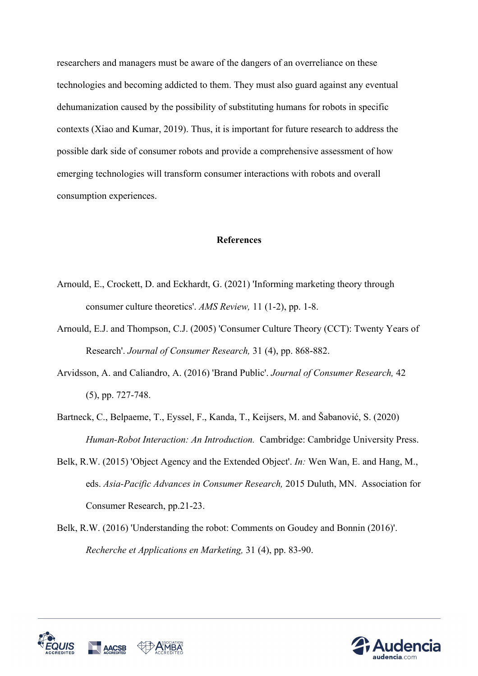researchers and managers must be aware of the dangers of an overreliance on these technologies and becoming addicted to them. They must also guard against any eventual dehumanization caused by the possibility of substituting humans for robots in specific contexts (Xiao and Kumar, 2019). Thus, it is important for future research to address the possible dark side of consumer robots and provide a comprehensive assessment of how emerging technologies will transform consumer interactions with robots and overall consumption experiences.

#### **References**

- Arnould, E., Crockett, D. and Eckhardt, G. (2021) 'Informing marketing theory through consumer culture theoretics'. *AMS Review,* 11 (1-2), pp. 1-8.
- Arnould, E.J. and Thompson, C.J. (2005) 'Consumer Culture Theory (CCT): Twenty Years of Research'. *Journal of Consumer Research,* 31 (4), pp. 868-882.
- Arvidsson, A. and Caliandro, A. (2016) 'Brand Public'. *Journal of Consumer Research,* 42 (5), pp. 727-748.
- Bartneck, C., Belpaeme, T., Eyssel, F., Kanda, T., Keijsers, M. and Šabanović, S. (2020) *Human-Robot Interaction: An Introduction.* Cambridge: Cambridge University Press.
- Belk, R.W. (2015) 'Object Agency and the Extended Object'. *In:* Wen Wan, E. and Hang, M., eds. *Asia-Pacific Advances in Consumer Research,* 2015 Duluth, MN. Association for Consumer Research, pp.21-23.
- Belk, R.W. (2016) 'Understanding the robot: Comments on Goudey and Bonnin (2016)'. *Recherche et Applications en Marketing,* 31 (4), pp. 83-90.



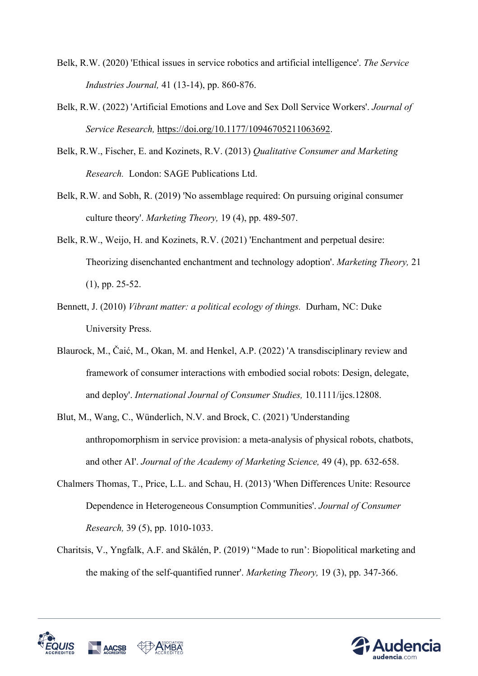- Belk, R.W. (2020) 'Ethical issues in service robotics and artificial intelligence'. *The Service Industries Journal,* 41 (13-14), pp. 860-876.
- Belk, R.W. (2022) 'Artificial Emotions and Love and Sex Doll Service Workers'. *Journal of Service Research,* https://doi.org/10.1177/10946705211063692.
- Belk, R.W., Fischer, E. and Kozinets, R.V. (2013) *Qualitative Consumer and Marketing Research.* London: SAGE Publications Ltd.
- Belk, R.W. and Sobh, R. (2019) 'No assemblage required: On pursuing original consumer culture theory'. *Marketing Theory,* 19 (4), pp. 489-507.
- Belk, R.W., Weijo, H. and Kozinets, R.V. (2021) 'Enchantment and perpetual desire: Theorizing disenchanted enchantment and technology adoption'. *Marketing Theory,* 21 (1), pp. 25-52.
- Bennett, J. (2010) *Vibrant matter: a political ecology of things.* Durham, NC: Duke University Press.
- Blaurock, M., Čaić, M., Okan, M. and Henkel, A.P. (2022) 'A transdisciplinary review and framework of consumer interactions with embodied social robots: Design, delegate, and deploy'. *International Journal of Consumer Studies,* 10.1111/ijcs.12808.
- Blut, M., Wang, C., Wünderlich, N.V. and Brock, C. (2021) 'Understanding anthropomorphism in service provision: a meta-analysis of physical robots, chatbots, and other AI'. *Journal of the Academy of Marketing Science,* 49 (4), pp. 632-658.
- Chalmers Thomas, T., Price, L.L. and Schau, H. (2013) 'When Differences Unite: Resource Dependence in Heterogeneous Consumption Communities'. *Journal of Consumer Research,* 39 (5), pp. 1010-1033.
- Charitsis, V., Yngfalk, A.F. and Skålén, P. (2019) ''Made to run': Biopolitical marketing and the making of the self-quantified runner'. *Marketing Theory,* 19 (3), pp. 347-366.



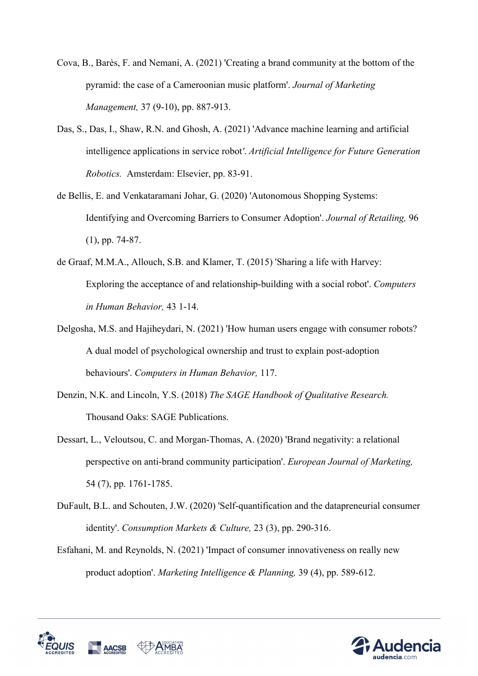- Cova, B., Barès, F. and Nemani, A. (2021) 'Creating a brand community at the bottom of the pyramid: the case of a Cameroonian music platform'. *Journal of Marketing Management,* 37 (9-10), pp. 887-913.
- Das, S., Das, I., Shaw, R.N. and Ghosh, A. (2021) 'Advance machine learning and artificial intelligence applications in service robot*'*. *Artificial Intelligence for Future Generation Robotics.* Amsterdam: Elsevier, pp. 83-91.
- de Bellis, E. and Venkataramani Johar, G. (2020) 'Autonomous Shopping Systems: Identifying and Overcoming Barriers to Consumer Adoption'. *Journal of Retailing,* 96 (1), pp. 74-87.
- de Graaf, M.M.A., Allouch, S.B. and Klamer, T. (2015) 'Sharing a life with Harvey: Exploring the acceptance of and relationship-building with a social robot'. *Computers in Human Behavior,* 43 1-14.
- Delgosha, M.S. and Hajiheydari, N. (2021) 'How human users engage with consumer robots? A dual model of psychological ownership and trust to explain post-adoption behaviours'. *Computers in Human Behavior,* 117.
- Denzin, N.K. and Lincoln, Y.S. (2018) *The SAGE Handbook of Qualitative Research.*  Thousand Oaks: SAGE Publications.
- Dessart, L., Veloutsou, C. and Morgan-Thomas, A. (2020) 'Brand negativity: a relational perspective on anti-brand community participation'. *European Journal of Marketing,* 54 (7), pp. 1761-1785.
- DuFault, B.L. and Schouten, J.W. (2020) 'Self-quantification and the datapreneurial consumer identity'. *Consumption Markets & Culture,* 23 (3), pp. 290-316.
- Esfahani, M. and Reynolds, N. (2021) 'Impact of consumer innovativeness on really new product adoption'. *Marketing Intelligence & Planning,* 39 (4), pp. 589-612.



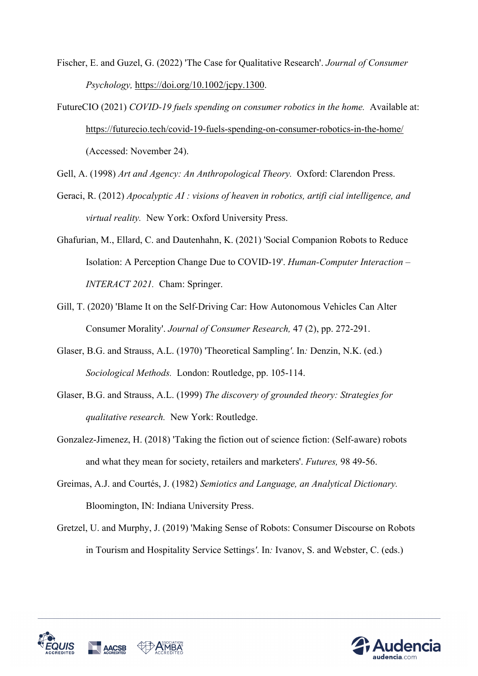Fischer, E. and Guzel, G. (2022) 'The Case for Qualitative Research'. *Journal of Consumer Psychology,* https://doi.org/10.1002/jcpy.1300.

FutureCIO (2021) *COVID-19 fuels spending on consumer robotics in the home.* Available at: https://futurecio.tech/covid-19-fuels-spending-on-consumer-robotics-in-the-home/ (Accessed: November 24).

Gell, A. (1998) *Art and Agency: An Anthropological Theory.* Oxford: Clarendon Press.

- Geraci, R. (2012) *Apocalyptic AI : visions of heaven in robotics, artifi cial intelligence, and virtual reality.* New York: Oxford University Press.
- Ghafurian, M., Ellard, C. and Dautenhahn, K. (2021) 'Social Companion Robots to Reduce Isolation: A Perception Change Due to COVID-19'. *Human-Computer Interaction – INTERACT 2021.* Cham: Springer.
- Gill, T. (2020) 'Blame It on the Self-Driving Car: How Autonomous Vehicles Can Alter Consumer Morality'. *Journal of Consumer Research,* 47 (2), pp. 272-291.
- Glaser, B.G. and Strauss, A.L. (1970) 'Theoretical Sampling*'*. In*:* Denzin, N.K. (ed.) *Sociological Methods.* London: Routledge, pp. 105-114.
- Glaser, B.G. and Strauss, A.L. (1999) *The discovery of grounded theory: Strategies for qualitative research.* New York: Routledge.
- Gonzalez-Jimenez, H. (2018) 'Taking the fiction out of science fiction: (Self-aware) robots and what they mean for society, retailers and marketers'. *Futures,* 98 49-56.
- Greimas, A.J. and Courtés, J. (1982) *Semiotics and Language, an Analytical Dictionary.*  Bloomington, IN: Indiana University Press.
- Gretzel, U. and Murphy, J. (2019) 'Making Sense of Robots: Consumer Discourse on Robots in Tourism and Hospitality Service Settings*'*. In*:* Ivanov, S. and Webster, C. (eds.)



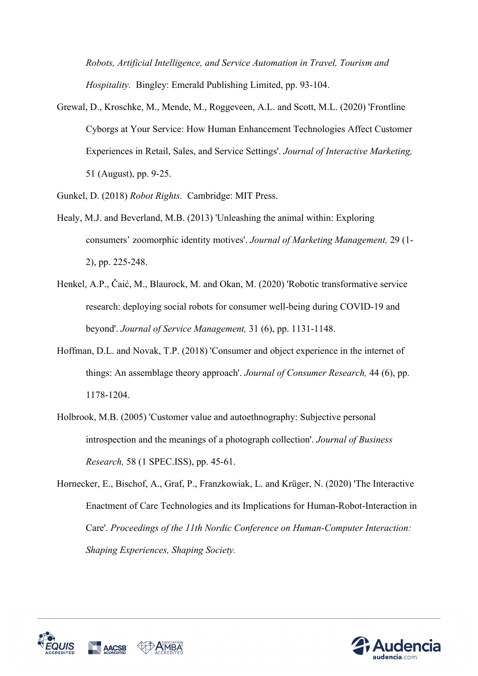*Robots, Artificial Intelligence, and Service Automation in Travel, Tourism and Hospitality.* Bingley: Emerald Publishing Limited, pp. 93-104.

Grewal, D., Kroschke, M., Mende, M., Roggeveen, A.L. and Scott, M.L. (2020) 'Frontline Cyborgs at Your Service: How Human Enhancement Technologies Affect Customer Experiences in Retail, Sales, and Service Settings'. *Journal of Interactive Marketing,* 51 (August), pp. 9-25.

Gunkel, D. (2018) *Robot Rights.* Cambridge: MIT Press.

- Healy, M.J. and Beverland, M.B. (2013) 'Unleashing the animal within: Exploring consumers' zoomorphic identity motives'. *Journal of Marketing Management,* 29 (1- 2), pp. 225-248.
- Henkel, A.P., Čaić, M., Blaurock, M. and Okan, M. (2020) 'Robotic transformative service research: deploying social robots for consumer well-being during COVID-19 and beyond'. *Journal of Service Management,* 31 (6), pp. 1131-1148.
- Hoffman, D.L. and Novak, T.P. (2018) 'Consumer and object experience in the internet of things: An assemblage theory approach'. *Journal of Consumer Research,* 44 (6), pp. 1178-1204.
- Holbrook, M.B. (2005) 'Customer value and autoethnography: Subjective personal introspection and the meanings of a photograph collection'. *Journal of Business Research,* 58 (1 SPEC.ISS), pp. 45-61.
- Hornecker, E., Bischof, A., Graf, P., Franzkowiak, L. and Krüger, N. (2020) 'The Interactive Enactment of Care Technologies and its Implications for Human-Robot-Interaction in Care'. *Proceedings of the 11th Nordic Conference on Human-Computer Interaction: Shaping Experiences, Shaping Society.*



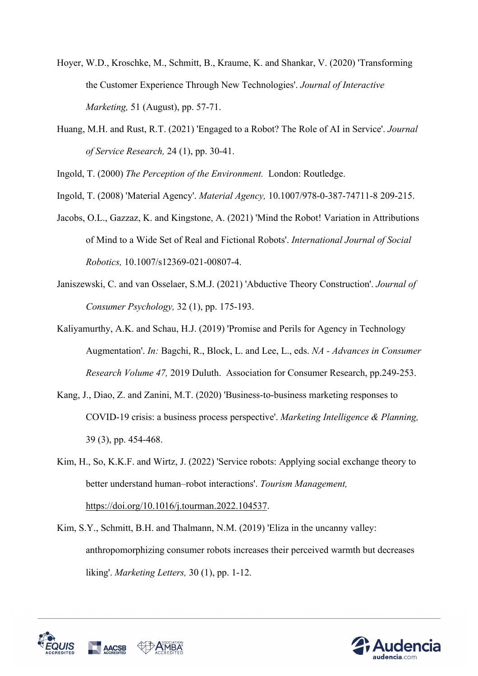- Hoyer, W.D., Kroschke, M., Schmitt, B., Kraume, K. and Shankar, V. (2020) 'Transforming the Customer Experience Through New Technologies'. *Journal of Interactive Marketing,* 51 (August), pp. 57-71.
- Huang, M.H. and Rust, R.T. (2021) 'Engaged to a Robot? The Role of AI in Service'. *Journal of Service Research,* 24 (1), pp. 30-41.

Ingold, T. (2000) *The Perception of the Environment.* London: Routledge.

- Ingold, T. (2008) 'Material Agency'. *Material Agency,* 10.1007/978-0-387-74711-8 209-215.
- Jacobs, O.L., Gazzaz, K. and Kingstone, A. (2021) 'Mind the Robot! Variation in Attributions of Mind to a Wide Set of Real and Fictional Robots'. *International Journal of Social Robotics,* 10.1007/s12369-021-00807-4.
- Janiszewski, C. and van Osselaer, S.M.J. (2021) 'Abductive Theory Construction'. *Journal of Consumer Psychology,* 32 (1), pp. 175-193.
- Kaliyamurthy, A.K. and Schau, H.J. (2019) 'Promise and Perils for Agency in Technology Augmentation'. *In:* Bagchi, R., Block, L. and Lee, L., eds. *NA - Advances in Consumer Research Volume 47,* 2019 Duluth. Association for Consumer Research, pp.249-253.
- Kang, J., Diao, Z. and Zanini, M.T. (2020) 'Business-to-business marketing responses to COVID-19 crisis: a business process perspective'. *Marketing Intelligence & Planning,* 39 (3), pp. 454-468.
- Kim, H., So, K.K.F. and Wirtz, J. (2022) 'Service robots: Applying social exchange theory to better understand human–robot interactions'. *Tourism Management,* https://doi.org/10.1016/j.tourman.2022.104537.
- Kim, S.Y., Schmitt, B.H. and Thalmann, N.M. (2019) 'Eliza in the uncanny valley: anthropomorphizing consumer robots increases their perceived warmth but decreases liking'. *Marketing Letters,* 30 (1), pp. 1-12.



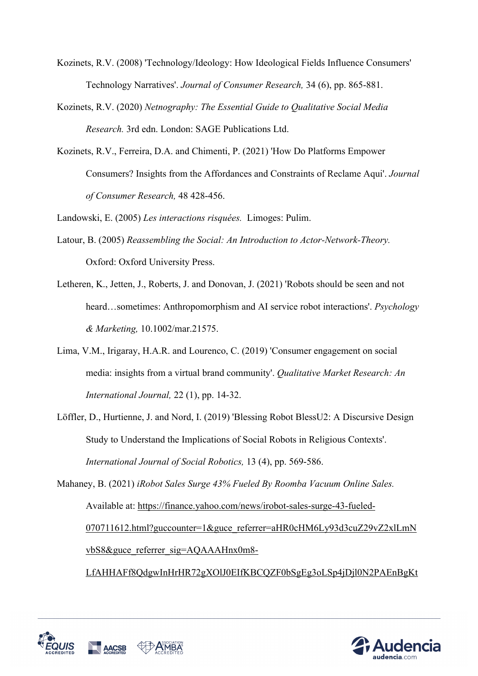- Kozinets, R.V. (2008) 'Technology/Ideology: How Ideological Fields Influence Consumers' Technology Narratives'. *Journal of Consumer Research,* 34 (6), pp. 865-881.
- Kozinets, R.V. (2020) *Netnography: The Essential Guide to Qualitative Social Media Research.* 3rd edn. London: SAGE Publications Ltd.
- Kozinets, R.V., Ferreira, D.A. and Chimenti, P. (2021) 'How Do Platforms Empower Consumers? Insights from the Affordances and Constraints of Reclame Aqui'. *Journal of Consumer Research,* 48 428-456.

Landowski, E. (2005) *Les interactions risquées.* Limoges: Pulim.

- Latour, B. (2005) *Reassembling the Social: An Introduction to Actor-Network-Theory.*  Oxford: Oxford University Press.
- Letheren, K., Jetten, J., Roberts, J. and Donovan, J. (2021) 'Robots should be seen and not heard…sometimes: Anthropomorphism and AI service robot interactions'. *Psychology & Marketing,* 10.1002/mar.21575.
- Lima, V.M., Irigaray, H.A.R. and Lourenco, C. (2019) 'Consumer engagement on social media: insights from a virtual brand community'. *Qualitative Market Research: An International Journal,* 22 (1), pp. 14-32.
- Löffler, D., Hurtienne, J. and Nord, I. (2019) 'Blessing Robot BlessU2: A Discursive Design Study to Understand the Implications of Social Robots in Religious Contexts'. *International Journal of Social Robotics,* 13 (4), pp. 569-586.

Mahaney, B. (2021) *iRobot Sales Surge 43% Fueled By Roomba Vacuum Online Sales.*  Available at: https://finance.yahoo.com/news/irobot-sales-surge-43-fueled-070711612.html?guccounter=1&guce\_referrer=aHR0cHM6Ly93d3cuZ29vZ2xlLmN vbS8&guce\_referrer\_sig=AQAAAHnx0m8-LfAHHAFf8QdgwInHrHR72gXOlJ0EIfKBCQZF0bSgEg3oLSp4jDjl0N2PAEnBgKt



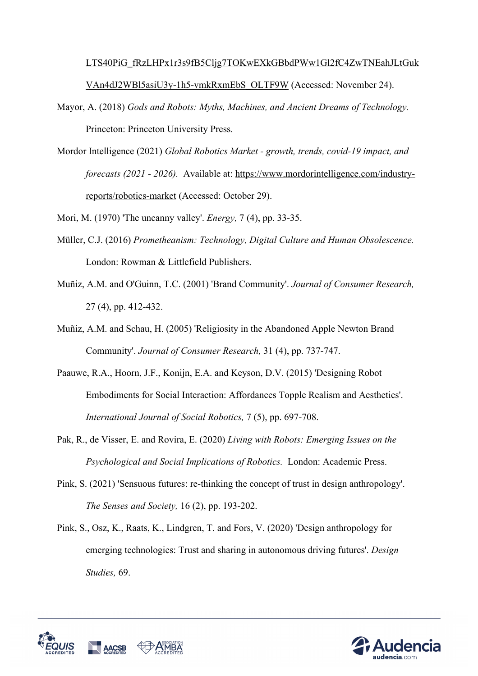# LTS40PiG\_fRzLHPx1r3s9fB5Cljg7TOKwEXkGBbdPWw1Gl2fC4ZwTNEahJLtGuk VAn4dJ2WBl5asiU3y-1h5-vmkRxmEbS\_OLTF9W (Accessed: November 24).

- Mayor, A. (2018) *Gods and Robots: Myths, Machines, and Ancient Dreams of Technology.*  Princeton: Princeton University Press.
- Mordor Intelligence (2021) *Global Robotics Market - growth, trends, covid-19 impact, and forecasts (2021 - 2026).* Available at: https://www.mordorintelligence.com/industryreports/robotics-market (Accessed: October 29).

Mori, M. (1970) 'The uncanny valley'. *Energy,* 7 (4), pp. 33-35.

- Müller, C.J. (2016) *Prometheanism: Technology, Digital Culture and Human Obsolescence.*  London: Rowman & Littlefield Publishers.
- Muñiz, A.M. and O'Guinn, T.C. (2001) 'Brand Community'. *Journal of Consumer Research,* 27 (4), pp. 412-432.
- Muñiz, A.M. and Schau, H. (2005) 'Religiosity in the Abandoned Apple Newton Brand Community'. *Journal of Consumer Research,* 31 (4), pp. 737-747.
- Paauwe, R.A., Hoorn, J.F., Konijn, E.A. and Keyson, D.V. (2015) 'Designing Robot Embodiments for Social Interaction: Affordances Topple Realism and Aesthetics'. *International Journal of Social Robotics,* 7 (5), pp. 697-708.
- Pak, R., de Visser, E. and Rovira, E. (2020) *Living with Robots: Emerging Issues on the Psychological and Social Implications of Robotics.* London: Academic Press.
- Pink, S. (2021) 'Sensuous futures: re-thinking the concept of trust in design anthropology'. *The Senses and Society,* 16 (2), pp. 193-202.
- Pink, S., Osz, K., Raats, K., Lindgren, T. and Fors, V. (2020) 'Design anthropology for emerging technologies: Trust and sharing in autonomous driving futures'. *Design Studies,* 69.



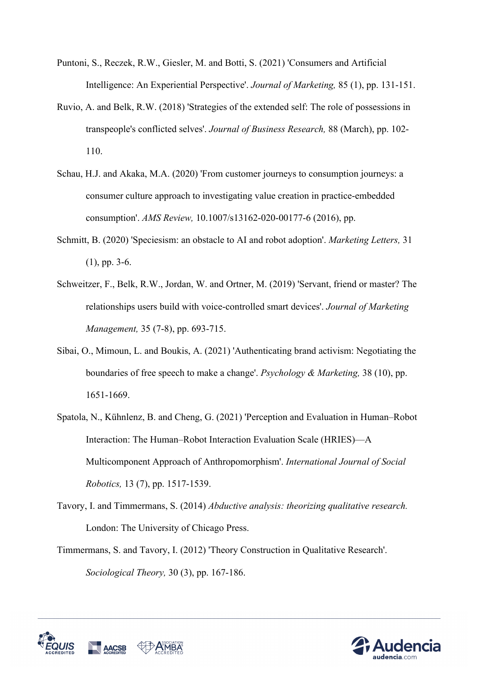- Puntoni, S., Reczek, R.W., Giesler, M. and Botti, S. (2021) 'Consumers and Artificial Intelligence: An Experiential Perspective'. *Journal of Marketing,* 85 (1), pp. 131-151.
- Ruvio, A. and Belk, R.W. (2018) 'Strategies of the extended self: The role of possessions in transpeople's conflicted selves'. *Journal of Business Research,* 88 (March), pp. 102- 110.
- Schau, H.J. and Akaka, M.A. (2020) 'From customer journeys to consumption journeys: a consumer culture approach to investigating value creation in practice-embedded consumption'. *AMS Review,* 10.1007/s13162-020-00177-6 (2016), pp.
- Schmitt, B. (2020) 'Speciesism: an obstacle to AI and robot adoption'. *Marketing Letters,* 31 (1), pp. 3-6.
- Schweitzer, F., Belk, R.W., Jordan, W. and Ortner, M. (2019) 'Servant, friend or master? The relationships users build with voice-controlled smart devices'. *Journal of Marketing Management,* 35 (7-8), pp. 693-715.
- Sibai, O., Mimoun, L. and Boukis, A. (2021) 'Authenticating brand activism: Negotiating the boundaries of free speech to make a change'. *Psychology & Marketing,* 38 (10), pp. 1651-1669.
- Spatola, N., Kühnlenz, B. and Cheng, G. (2021) 'Perception and Evaluation in Human–Robot Interaction: The Human–Robot Interaction Evaluation Scale (HRIES)—A Multicomponent Approach of Anthropomorphism'. *International Journal of Social Robotics,* 13 (7), pp. 1517-1539.
- Tavory, I. and Timmermans, S. (2014) *Abductive analysis: theorizing qualitative research.*  London: The University of Chicago Press.
- Timmermans, S. and Tavory, I. (2012) 'Theory Construction in Qualitative Research'. *Sociological Theory,* 30 (3), pp. 167-186.